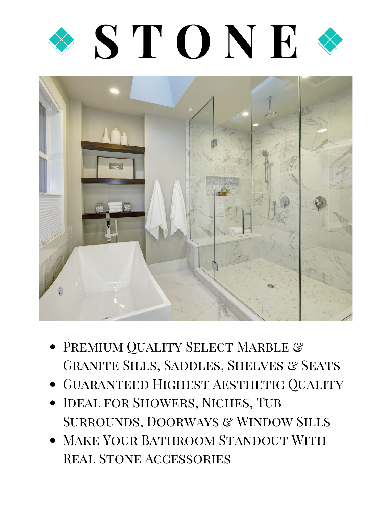



- **PREMIUM QUALITY SELECT MARBLE &** GRANITE SILLS, SADDLES, SHELVES & SEATS
- GUARANTEED HIGHEST AESTHETIC QUALITY
- IDEAL FOR SHOWERS, NICHES, TUB SURROUNDS, DOORWAYS & WINDOW SILLS
- MAKE YOUR BATHROOM STANDOUT WITH Real Stone Accessories